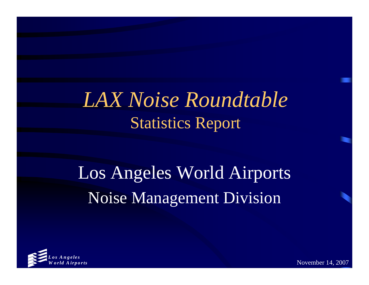## *LAX Noise Roundtable*  Statistics Report

# Los Angeles World Airports Noise Management Division



November 14, 2007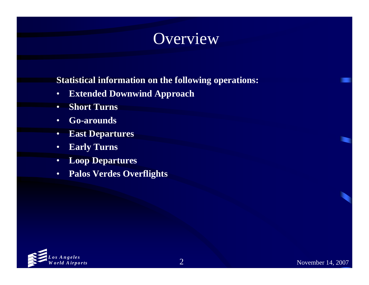### Overview

#### **Statistical information on the following operations:**

- •**Extended Downwind Approach**
- $\bullet$ **Short Turns**
- •**Go-arounds**
- •**East Departures**
- •**Early Turns**
- •**Loop Departures**
- •**Palos Verdes Overflights**

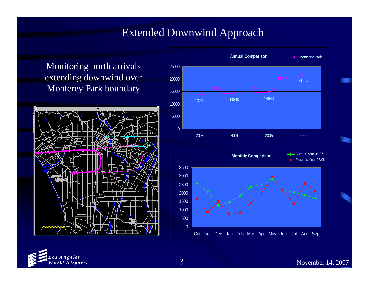#### Extended Downwind Approach

Monitoring north arrivals extending downwind over Monterey Park boundary





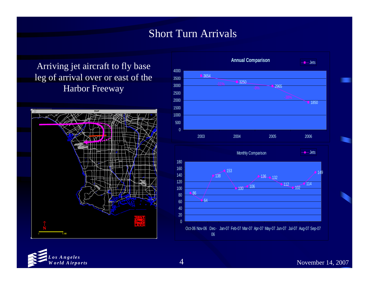#### Short Turn Arrivals

Arriving jet aircraft to fly base leg of arrival over or east of the Harbor Freeway





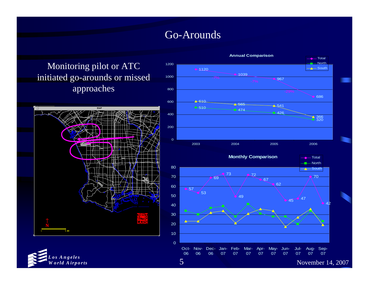#### Go-Arounds

Monitoring pilot or ATC initiated go-arounds or missed approaches







November 14, 2007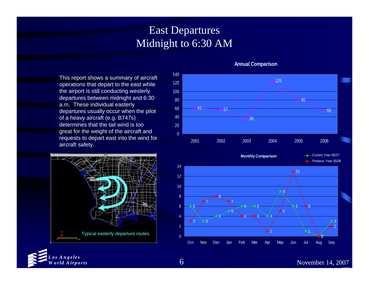#### East Departures Midnight to 6:30 AM

This report shows a summary of aircraft operations that depart to the east while the airport is still conducting westerly departures between midnight and 6:30 a.m. These individual easterly departures usually occur when the pilot of a heavy aircraft (e.g. B747s) determines that the tail wind is too great for the weight of the aircraft and requests to depart east into the wind for aircraft safety.





#### **Annual Comparison**

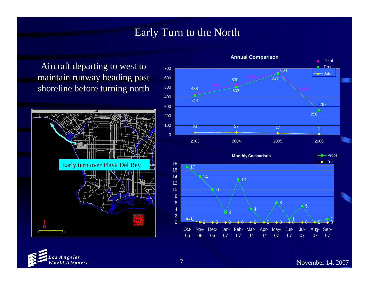#### Early Turn to the North

Aircraft departing to west to maintain runway heading past shoreline before turning north





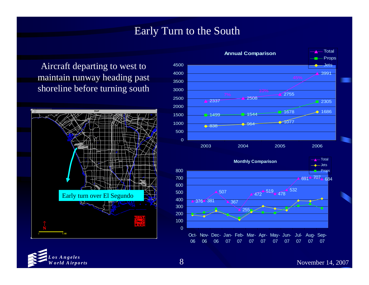#### Early Turn to the South

Aircraft departing to west to maintain runway heading past shoreline before turning south





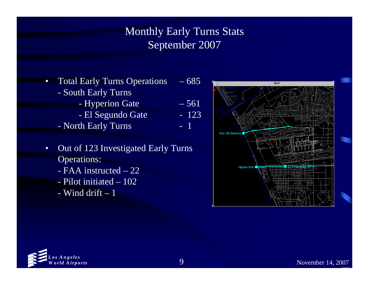Monthly Early Turns Stats September 2007

- • Total Early Turns Operations – 685 South Early Turns Hyperion Gate – 561
	- El Segundo Gate  $\qquad \quad -123$
	- North Early Turns 1
- • Out of 123 Investigated Early Turns Operations:
	- FAA instructed 22
	- Pilot initiated 102
	- Wind drift 1



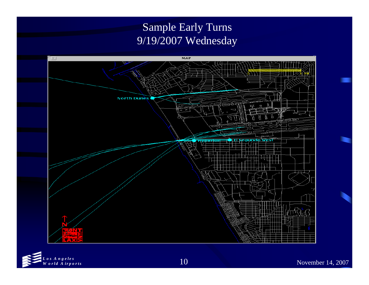### Sample Early Turns 9/19/2007 Wednesday



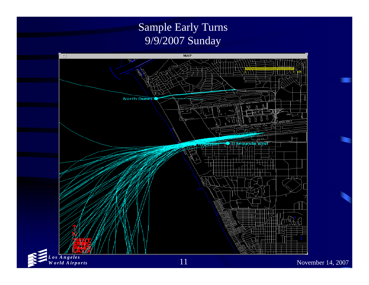### Sample Early Turns 9/9/2007 Sunday



*Los Angeles W orld Airports*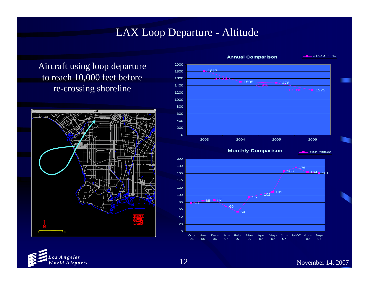#### LAX Loop Departure - Altitude

Aircraft using loop departure to reach 10,000 feet before re-crossing shoreline





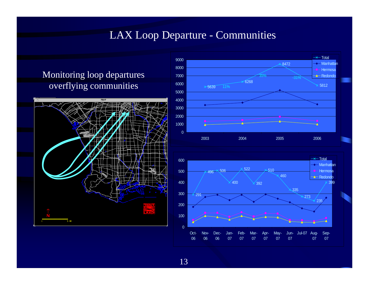#### LAX Loop Departure - Communities

#### Monitoring loop departures overflying communities





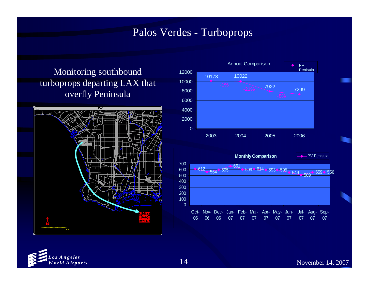#### Palos Verdes - Turboprops

#### Monitoring southbound turboprops departing LAX that overfly Peninsula